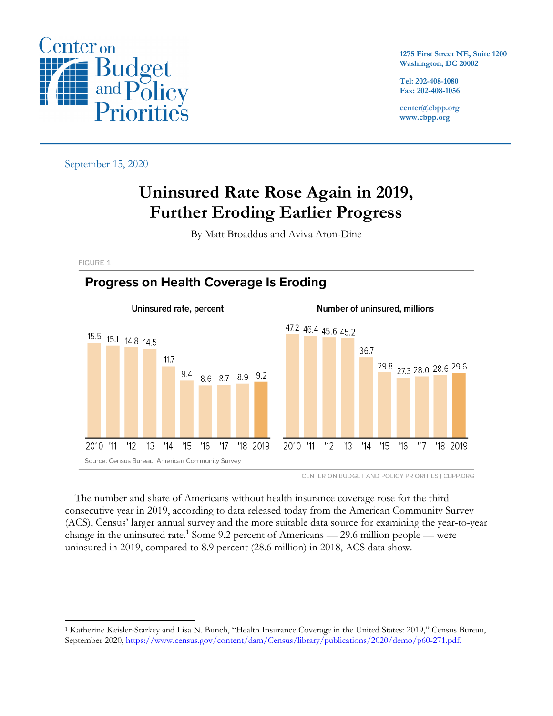

**1275 First Street NE, Suite 1200 Washington, DC 20002**

**Tel: 202-408-1080 Fax: 202-408-1056**

**center@cbpp.org www.cbpp.org**

September 15, 2020

# **Uninsured Rate Rose Again in 2019, Further Eroding Earlier Progress**

By Matt Broaddus and Aviva Aron-Dine

**FIGURE 1** 

## **Progress on Health Coverage Is Eroding**



CENTER ON BUDGET AND POLICY PRIORITIES | CBPP.ORG

The number and share of Americans without health insurance coverage rose for the third consecutive year in 2019, according to data released today from the American Community Survey (ACS), Census' larger annual survey and the more suitable data source for examining the year-to-year change in the uninsured rate.<sup>1</sup> Some 9.2 percent of Americans — 29.6 million people — were uninsured in 2019, compared to 8.9 percent (28.6 million) in 2018, ACS data show.

<sup>1</sup> Katherine Keisler-Starkey and Lisa N. Bunch, "Health Insurance Coverage in the United States: 2019," Census Bureau, September 2020, https://www.census.gov/content/dam/Census/library/publications/2020/demo/p60-271.pdf.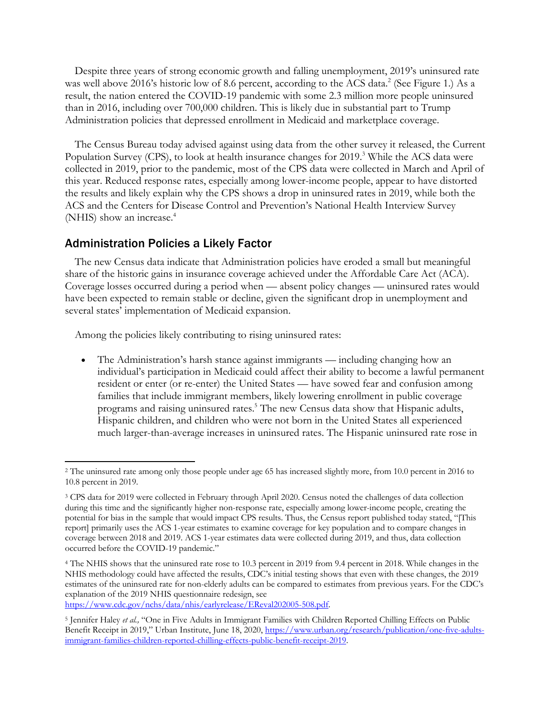Despite three years of strong economic growth and falling unemployment, 2019's uninsured rate was well above 2016's historic low of 8.6 percent, according to the ACS data.<sup>2</sup> (See Figure 1.) As a result, the nation entered the COVID-19 pandemic with some 2.3 million more people uninsured than in 2016, including over 700,000 children. This is likely due in substantial part to Trump Administration policies that depressed enrollment in Medicaid and marketplace coverage.

The Census Bureau today advised against using data from the other survey it released, the Current Population Survey (CPS), to look at health insurance changes for 2019.<sup>3</sup> While the ACS data were collected in 2019, prior to the pandemic, most of the CPS data were collected in March and April of this year. Reduced response rates, especially among lower-income people, appear to have distorted the results and likely explain why the CPS shows a drop in uninsured rates in 2019, while both the ACS and the Centers for Disease Control and Prevention's National Health Interview Survey (NHIS) show an increase. 4

#### Administration Policies a Likely Factor

The new Census data indicate that Administration policies have eroded a small but meaningful share of the historic gains in insurance coverage achieved under the Affordable Care Act (ACA). Coverage losses occurred during a period when — absent policy changes — uninsured rates would have been expected to remain stable or decline, given the significant drop in unemployment and several states' implementation of Medicaid expansion.

Among the policies likely contributing to rising uninsured rates:

• The Administration's harsh stance against immigrants — including changing how an individual's participation in Medicaid could affect their ability to become a lawful permanent resident or enter (or re-enter) the United States — have sowed fear and confusion among families that include immigrant members, likely lowering enrollment in public coverage programs and raising uninsured rates.<sup>5</sup> The new Census data show that Hispanic adults, Hispanic children, and children who were not born in the United States all experienced much larger-than-average increases in uninsured rates. The Hispanic uninsured rate rose in

https://www.cdc.gov/nchs/data/nhis/earlyrelease/EReval202005-508.pdf.

<sup>2</sup> The uninsured rate among only those people under age 65 has increased slightly more, from 10.0 percent in 2016 to 10.8 percent in 2019.

<sup>3</sup> CPS data for 2019 were collected in February through April 2020. Census noted the challenges of data collection during this time and the significantly higher non-response rate, especially among lower-income people, creating the potential for bias in the sample that would impact CPS results. Thus, the Census report published today stated, "[This report] primarily uses the ACS 1-year estimates to examine coverage for key population and to compare changes in coverage between 2018 and 2019. ACS 1-year estimates data were collected during 2019, and thus, data collection occurred before the COVID-19 pandemic."

<sup>4</sup> The NHIS shows that the uninsured rate rose to 10.3 percent in 2019 from 9.4 percent in 2018. While changes in the NHIS methodology could have affected the results, CDC's initial testing shows that even with these changes, the 2019 estimates of the uninsured rate for non-elderly adults can be compared to estimates from previous years. For the CDC's explanation of the 2019 NHIS questionnaire redesign, see

<sup>5</sup> Jennifer Haley *et al.,* "One in Five Adults in Immigrant Families with Children Reported Chilling Effects on Public Benefit Receipt in 2019," Urban Institute, June 18, 2020, https://www.urban.org/research/publication/one-five-adultsimmigrant-families-children-reported-chilling-effects-public-benefit-receipt-2019.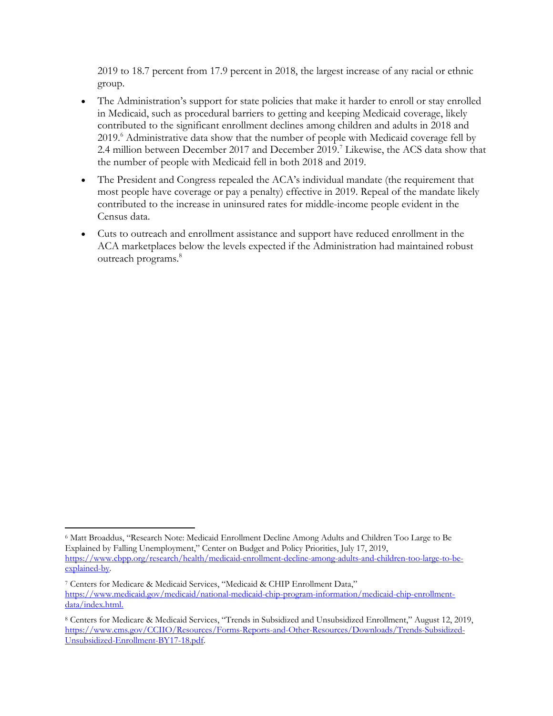2019 to 18.7 percent from 17.9 percent in 2018, the largest increase of any racial or ethnic group.

- The Administration's support for state policies that make it harder to enroll or stay enrolled in Medicaid, such as procedural barriers to getting and keeping Medicaid coverage, likely contributed to the significant enrollment declines among children and adults in 2018 and 2019.<sup>6</sup> Administrative data show that the number of people with Medicaid coverage fell by 2.4 million between December 2017 and December 2019. <sup>7</sup> Likewise, the ACS data show that the number of people with Medicaid fell in both 2018 and 2019.
- The President and Congress repealed the ACA's individual mandate (the requirement that most people have coverage or pay a penalty) effective in 2019. Repeal of the mandate likely contributed to the increase in uninsured rates for middle-income people evident in the Census data.
- Cuts to outreach and enrollment assistance and support have reduced enrollment in the ACA marketplaces below the levels expected if the Administration had maintained robust outreach programs. 8

<sup>6</sup> Matt Broaddus, "Research Note: Medicaid Enrollment Decline Among Adults and Children Too Large to Be Explained by Falling Unemployment," Center on Budget and Policy Priorities, July 17, 2019, https://www.cbpp.org/research/health/medicaid-enrollment-decline-among-adults-and-children-too-large-to-beexplained-by.

<sup>7</sup> Centers for Medicare & Medicaid Services, "Medicaid & CHIP Enrollment Data," https://www.medicaid.gov/medicaid/national-medicaid-chip-program-information/medicaid-chip-enrollmentdata/index.html.

<sup>8</sup> Centers for Medicare & Medicaid Services, "Trends in Subsidized and Unsubsidized Enrollment," August 12, 2019, https://www.cms.gov/CCIIO/Resources/Forms-Reports-and-Other-Resources/Downloads/Trends-Subsidized-Unsubsidized-Enrollment-BY17-18.pdf.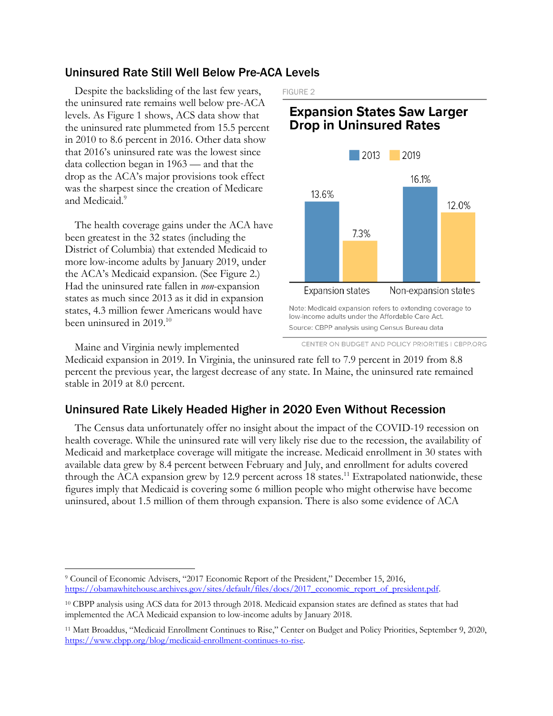#### Uninsured Rate Still Well Below Pre-ACA Levels

Despite the backsliding of the last few years, the uninsured rate remains well below pre-ACA levels. As Figure 1 shows, ACS data show that the uninsured rate plummeted from 15.5 percent in 2010 to 8.6 percent in 2016. Other data show that 2016's uninsured rate was the lowest since data collection began in 1963 — and that the drop as the ACA's major provisions took effect was the sharpest since the creation of Medicare and Medicaid.<sup>9</sup>

The health coverage gains under the ACA have been greatest in the 32 states (including the District of Columbia) that extended Medicaid to more low-income adults by January 2019, under the ACA's Medicaid expansion. (See Figure 2.) Had the uninsured rate fallen in *non*-expansion states as much since 2013 as it did in expansion states, 4.3 million fewer Americans would have been uninsured in 2019. 10

Maine and Virginia newly implemented

FIGURE 2

## **Expansion States Saw Larger Drop in Uninsured Rates**



CENTER ON BUDGET AND POLICY PRIORITIES | CBPP.ORG

Medicaid expansion in 2019. In Virginia, the uninsured rate fell to 7.9 percent in 2019 from 8.8 percent the previous year, the largest decrease of any state. In Maine, the uninsured rate remained stable in 2019 at 8.0 percent.

## Uninsured Rate Likely Headed Higher in 2020 Even Without Recession

The Census data unfortunately offer no insight about the impact of the COVID-19 recession on health coverage. While the uninsured rate will very likely rise due to the recession, the availability of Medicaid and marketplace coverage will mitigate the increase. Medicaid enrollment in 30 states with available data grew by 8.4 percent between February and July, and enrollment for adults covered through the ACA expansion grew by 12.9 percent across 18 states.<sup>11</sup> Extrapolated nationwide, these figures imply that Medicaid is covering some 6 million people who might otherwise have become uninsured, about 1.5 million of them through expansion. There is also some evidence of ACA

<sup>9</sup> Council of Economic Advisers, "2017 Economic Report of the President," December 15, 2016, https://obamawhitehouse.archives.gov/sites/default/files/docs/2017\_economic\_report\_of\_president.pdf.

<sup>10</sup> CBPP analysis using ACS data for 2013 through 2018. Medicaid expansion states are defined as states that had implemented the ACA Medicaid expansion to low-income adults by January 2018.

<sup>11</sup> Matt Broaddus, "Medicaid Enrollment Continues to Rise," Center on Budget and Policy Priorities, September 9, 2020, https://www.cbpp.org/blog/medicaid-enrollment-continues-to-rise.